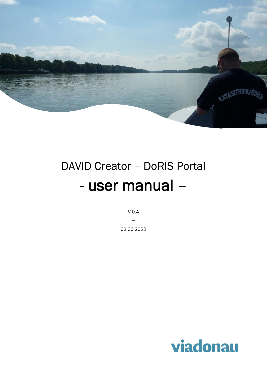

# DAVID Creator – DoRIS Portal - user manual –

V 0.4  $\overline{\phantom{a}}$ 

02.06.2022

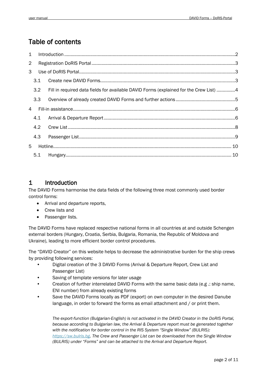# Table of contents

| $\mathbf{1}$   |     |                                                                                        |  |
|----------------|-----|----------------------------------------------------------------------------------------|--|
| $\overline{2}$ |     |                                                                                        |  |
| 3              |     |                                                                                        |  |
|                | 3.1 |                                                                                        |  |
|                | 3.2 | Fill in required data fields for available DAVID Forms (explained for the Crew List) 4 |  |
|                | 3.3 |                                                                                        |  |
| 4              |     |                                                                                        |  |
|                | 4.1 |                                                                                        |  |
|                | 4.2 |                                                                                        |  |
|                | 4.3 |                                                                                        |  |
| 5.             |     |                                                                                        |  |
|                |     |                                                                                        |  |

# <span id="page-1-0"></span>1 Introduction

The DAVID Forms harmonise the data fields of the following three most commonly used border control forms:

- Arrival and departure reports,
- Crew lists and
- Passenger lists.

The DAVID Forms have replaced respective national forms in all countries at and outside Schengen external borders (Hungary, Croatia, Serbia, Bulgaria, Romania, the Republic of Moldova and Ukraine), leading to more efficient border control procedures.

The "DAVID Creator" on this website helps to decrease the administrative burden for the ship crews by providing following services:

- Digital creation of the 3 DAVID Forms (Arrival & Departure Report, Crew List and Passenger List)
- Saving of template versions for later usage
- Creation of further interrelated DAVID Forms with the same basic data (e.g .: ship name, ENI number) from already existing forms
- Save the DAVID Forms locally as PDF (export) on own computer in the desired Danube language, in order to forward the forms as email attachment and / or print them.

*The export-function (Bulgarian-English) is not activated in the DAVID Creator in the DoRIS Portal, because according to Bulgarian law, the Arrival & Departure report must be generated together with the notification for border control in the RIS System "Single Window" (BULRIS): [https://sw.bulris.bg.](https://sw.bulris.bg/) The Crew and Passenger List can be downloaded from the Single Window (BULRIS) under "Forms" and can be attached to the Arrival and Departure Report.*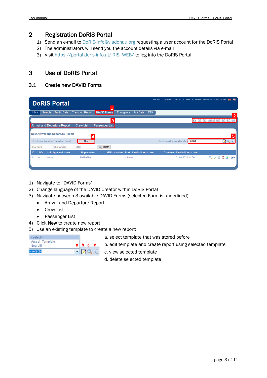# <span id="page-2-0"></span>2 Registration DoRIS Portal

- 1) Send an e-mail to **DoRIS-Info@viadonau.org** requesting a user account for the DoRIS Portal
- 2) The administrators will send you the account details via e-mail
- 3) Visit [https://portal.doris-info.at/IRIS\\_WEB/](https://portal.doris-info.at/IRIS_WEB/) to log into the DoRIS Portal

# <span id="page-2-1"></span>3 Use of DoRIS Portal

#### <span id="page-2-2"></span>3.1 Create new DAVID Forms

| <b>DoRIS Portal</b>                                  |                                               | ◢                  |                           | <b>LOGOUT</b><br><b>PRINT</b><br><b>IMPRINT</b>  | <b>CONTACT HELP TERMS &amp; CONDITIONS</b> | - 米            |
|------------------------------------------------------|-----------------------------------------------|--------------------|---------------------------|--------------------------------------------------|--------------------------------------------|----------------|
| <b>Inbox</b><br><b>Search</b><br><b>Traffic Data</b> | <b>DAVID Forms</b><br><b>Transport Report</b> | <b>Emergency</b>   | <b>ETA</b><br>My Data     |                                                  |                                            | $\overline{2}$ |
|                                                      |                                               | 3                  |                           |                                                  | EN   DE   SK   HU   HR   RS   BG   RO   UA |                |
| <b>Arrival and Departure Report</b>                  | <b>Crew List</b><br><b>Passenger List</b>     |                    |                           |                                                  |                                            |                |
| <b>New Arrival and Departure Report</b>              | Δ                                             |                    |                           |                                                  |                                            | 5              |
| Create new Arrival and Departure Report              | New                                           |                    |                           | Create report using a template <select></select> |                                            | $-79$          |
| Ship name<br>Ship number                             | <b>Q</b> Search<br><b>MMSI</b>                |                    |                           |                                                  |                                            |                |
| A/D<br>ID<br>Ship type and name                      | <b>Ship number</b>                            | <b>MMSI number</b> | Port of arrival/departure | <b>Datetime of arrival/departure</b>             |                                            |                |
| <b>Vessel</b><br>24<br>$\mathsf{A}$                  | 99999999                                      | Vukovar            |                           | 01.01.2020 14:56                                 | $Q \times 2$                               | 79<br>ြုထား    |
|                                                      |                                               |                    |                           |                                                  |                                            |                |

- 1) Navigate to "DAVID Forms"
- 2) Change language of the DAVID Creator within DoRIS Portal
- 3) Navigate between 3 available DAVID Forms (selected Form is underlined)
	- Arrival and Departure Report
		- Crew List
		- Passenger List
- 4) Click New to create new report
- 5) Use an existing template to create a new report:

| <select></select> |    |     |   |
|-------------------|----|-----|---|
| Vessel Template   |    |     |   |
| Negrelli          | al | b c | d |
| <select></select> |    |     |   |

a. select template that was stored before

- b. edit template and create report using selected template
- c. view selected template

d. delete selected template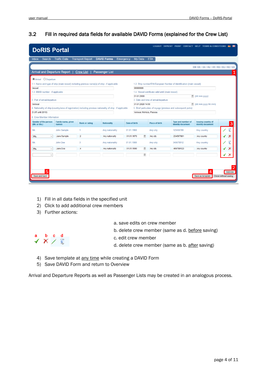#### <span id="page-3-0"></span>3.2 Fill in required data fields for available DAVID Forms (explained for the Crew List)

| <b>DoRIS Portal</b>                                                                                                                                                 |                             |                                                                                                              |                       |               |                         |                                                   | LOGOUT IMPRINT PRINT CONTACT HELP TERMS & CONDITIONS E WK      |                                                |                                 |  |  |  |  |
|---------------------------------------------------------------------------------------------------------------------------------------------------------------------|-----------------------------|--------------------------------------------------------------------------------------------------------------|-----------------------|---------------|-------------------------|---------------------------------------------------|----------------------------------------------------------------|------------------------------------------------|---------------------------------|--|--|--|--|
| Search<br><b>Inbox</b>                                                                                                                                              | <b>Traffic Data</b>         | <b>Transport Report</b>                                                                                      | <b>DAVID Forms</b>    | Emergency     | <b>My Data</b>          | <b>ETA</b>                                        |                                                                |                                                |                                 |  |  |  |  |
|                                                                                                                                                                     |                             |                                                                                                              |                       |               |                         |                                                   |                                                                | EN   DE   SK   HU   HR   RS   BG   RO   UA     |                                 |  |  |  |  |
| <b>Arrival and Departure Report</b>                                                                                                                                 |                             | <b>Crew List</b>                                                                                             | <b>Passenger List</b> |               |                         |                                                   |                                                                |                                                |                                 |  |  |  |  |
| <b>O</b> Arrival O Departure                                                                                                                                        |                             |                                                                                                              |                       |               |                         |                                                   |                                                                |                                                |                                 |  |  |  |  |
| 1.1. Name and type of ship (main vessel) including previous name(s) of ship - if applicable<br>1.2. Ship number/ENI-European Number of Identification (main vessel) |                             |                                                                                                              |                       |               |                         |                                                   |                                                                |                                                |                                 |  |  |  |  |
| Vessel                                                                                                                                                              |                             |                                                                                                              |                       |               | 99999999                |                                                   |                                                                |                                                |                                 |  |  |  |  |
| 1.3. MMSI number - if applicable                                                                                                                                    |                             |                                                                                                              |                       |               |                         | 1.4. Vessel certificate valid until (main vessel) |                                                                |                                                |                                 |  |  |  |  |
|                                                                                                                                                                     |                             |                                                                                                              |                       |               | 01.01.2000              |                                                   |                                                                | $\frac{44}{31}$ (dd.mm.yyyy)                   |                                 |  |  |  |  |
| 2. Port of arrival/departure<br>Vukovar                                                                                                                             |                             |                                                                                                              |                       |               | 01.01.2020 14:56        | 3. Date and time of arrival/departure             |                                                                | $\frac{2}{21}$ (dd.mm.yyyy hh:mm)              |                                 |  |  |  |  |
|                                                                                                                                                                     |                             | 4. Nationality of ship (country/area of registration) including previous nationality of ship - if applicable |                       |               |                         |                                                   | 5. Brief particulars of voyage (previous and subsequent ports) |                                                |                                 |  |  |  |  |
| D (AT until 2010)                                                                                                                                                   |                             |                                                                                                              |                       |               | Vukovar, Mohács, Passau |                                                   |                                                                |                                                |                                 |  |  |  |  |
| 6. Crew Member Information                                                                                                                                          |                             |                                                                                                              |                       |               |                         |                                                   |                                                                |                                                |                                 |  |  |  |  |
| <b>Gender of the person</b><br>(Mr. or Ms.)                                                                                                                         | Family name, given<br>names | <b>Rank or rating</b>                                                                                        | <b>Nationality</b>    | Date of birth |                         | <b>Place of birth</b>                             | Type and number of<br>identity document                        | <b>Issuing country of</b><br>identity document | 3                               |  |  |  |  |
| Mr.                                                                                                                                                                 | John Sample                 | 1                                                                                                            | Any nationality       | 01.01.1960    |                         | Any city                                          | 123456789                                                      | Any country                                    |                                 |  |  |  |  |
| Ms.<br>$\checkmark$                                                                                                                                                 | Jane Sample                 | $\overline{2}$                                                                                               | Any nationality       | 01.01.1970    | 凿                       | Any city                                          | 234567891                                                      | Any country                                    |                                 |  |  |  |  |
| Mr.                                                                                                                                                                 | John Doe                    | 3                                                                                                            | Any nationality       | 01.01.1980    |                         | Any city                                          | 345678912                                                      | Any country                                    |                                 |  |  |  |  |
| Ms.<br>$\checkmark$                                                                                                                                                 | Jane Doe                    | 4                                                                                                            | Any nationality       | 01.01.1990    | 凿                       | Any city                                          | 456789123                                                      | Any country                                    |                                 |  |  |  |  |
| $\checkmark$                                                                                                                                                        |                             |                                                                                                              |                       |               | 凿                       |                                                   |                                                                |                                                |                                 |  |  |  |  |
|                                                                                                                                                                     |                             |                                                                                                              |                       |               |                         |                                                   |                                                                |                                                |                                 |  |  |  |  |
| 5<br>Save and back                                                                                                                                                  |                             |                                                                                                              |                       |               |                         |                                                   |                                                                | 4<br>Save as template                          | Add row<br>Close without saving |  |  |  |  |
|                                                                                                                                                                     |                             |                                                                                                              |                       |               |                         |                                                   |                                                                |                                                |                                 |  |  |  |  |

- 1) Fill in all data fields in the specified unit
- 2) Click to add additional crew members
- 3) Further actions:



- a. save edits on crew member
- b. delete crew member (same as d. before saving)
- c. edit crew member
- d. delete crew member (same as b. after saving)
- 4) Save template at any time while creating a DAVID Form
- 5) Save DAVID Form and return to Overview

Arrival and Departure Reports as well as Passenger Lists may be created in an analogous process.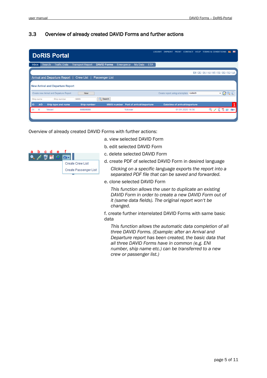#### <span id="page-4-0"></span>3.3 Overview of already created DAVID Forms and further actions

|              |               | <b>DoRIS Portal</b>                     |                         |                       |                    |                           | <b>LOGOUT</b> | <b>IMPRINT</b>                                   | <b>PRINT</b> | <b>CONTACT</b>                       |  | HELP TERMS & CONDITIONS                    |                                                         | - 목본 |
|--------------|---------------|-----------------------------------------|-------------------------|-----------------------|--------------------|---------------------------|---------------|--------------------------------------------------|--------------|--------------------------------------|--|--------------------------------------------|---------------------------------------------------------|------|
| <b>Inbox</b> | <b>Search</b> | <b>Traffic Data</b>                     | <b>Transport Report</b> | <b>DAVID Forms</b>    | <b>Emergency</b>   | <b>My Data</b>            | <b>ETA</b>    |                                                  |              |                                      |  |                                            |                                                         |      |
|              |               |                                         |                         |                       |                    |                           |               |                                                  |              |                                      |  | EN   DE   SK   HU   HR   RS   BG   RO   UA |                                                         |      |
|              |               | Arrival and Departure Report            | <b>Crew List</b>        | <b>Passenger List</b> |                    |                           |               |                                                  |              |                                      |  |                                            |                                                         |      |
|              |               | <b>New Arrival and Departure Report</b> |                         |                       |                    |                           |               |                                                  |              |                                      |  |                                            |                                                         |      |
|              |               | Create new Arrival and Departure Report | <b>New</b>              |                       |                    |                           |               | Create report using a template <select></select> |              |                                      |  | ▼М                                         |                                                         |      |
| Ship name    |               | Ship number                             | <b>MMSI</b>             | $Q$ Search            |                    |                           |               |                                                  |              |                                      |  |                                            |                                                         |      |
| A/D<br>ID    |               | Ship type and name                      | <b>Ship number</b>      |                       | <b>MMSI number</b> | Port of arrival/departure |               |                                                  |              | <b>Datetime of arrival/departure</b> |  |                                            |                                                         |      |
| 24<br>A      | Vessel        |                                         | 99999999                |                       | Vukovar            |                           |               |                                                  |              | 01.01.2020 14:56                     |  |                                            | $\frac{1}{2}$ $\frac{1}{2}$ $\frac{1}{2}$ $\frac{1}{2}$ |      |
|              |               |                                         |                         |                       |                    |                           |               |                                                  |              |                                      |  |                                            |                                                         |      |

Overview of already created DAVID Forms with further actions:



- a. view selected DAVID Form
- b. edit selected DAVID Form
- c. delete selected DAVID Form
- d. create PDF of selected DAVID Form in desired language
	- *Clicking on a specific language exports the report into a separated PDF file that can be saved and forwarded.*
- e. clone selected DAVID Form

*This function allows the user to duplicate an existing DAVID Form in order to create a new DAVID Form out of it (same data fields). The original report won't be changed.* 

f. create further interrelated DAVID Forms with same basic data

*This function allows the automatic data completion of all three DAVID Forms. (Example: after an Arrival and Departure report has been created, the basic data that all three DAVID Forms have in common (e.g. ENI number, ship name etc.) can be transferred to a new crew or passenger list.)*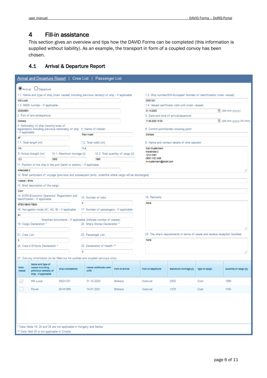# <span id="page-5-0"></span>4 Fill-in assistance

This section gives an overview and tips how the DAVID Forms can be completed (this information is supplied without liability). As an example, the transport in form of a coupled convoy has been chosen.

#### <span id="page-5-1"></span>4.1 Arrival & Departure Report

|                            | Arrival and Departure Report   Crew List   Passenger List                                                         |          |                           |                                 |                                                                |                                          |            |                                       |                                                                                |                 |                       |  |  |
|----------------------------|-------------------------------------------------------------------------------------------------------------------|----------|---------------------------|---------------------------------|----------------------------------------------------------------|------------------------------------------|------------|---------------------------------------|--------------------------------------------------------------------------------|-----------------|-----------------------|--|--|
|                            | <b>O</b> Arrival O Departure                                                                                      |          |                           |                                 |                                                                |                                          |            |                                       |                                                                                |                 |                       |  |  |
|                            | 1.1. Name and type of ship (main vessel) including previous name(s) of ship - if applicable                       |          |                           |                                 |                                                                |                                          |            |                                       | 1.2. Ship number/ENI-European Number of Identification (main vessel)           |                 |                       |  |  |
| <b>MS Lucia</b>            |                                                                                                                   |          |                           |                                 |                                                                |                                          |            | 30031321                              |                                                                                |                 |                       |  |  |
|                            | 1.3. MMSI number - if applicable<br>1.4. Vessel certificate valid until (main vessel)                             |          |                           |                                 |                                                                |                                          |            |                                       |                                                                                |                 |                       |  |  |
| 203545691                  |                                                                                                                   |          |                           |                                 |                                                                |                                          | 31.10.2020 |                                       |                                                                                | 菌 (dd.mm.yyyyy) |                       |  |  |
|                            | 2. Port of arrival/departure                                                                                      |          |                           |                                 |                                                                |                                          |            | 3. Date and time of arrival/departure |                                                                                |                 |                       |  |  |
| 11.09.2020 15:00<br>Mohacs |                                                                                                                   |          |                           |                                 |                                                                |                                          |            |                                       |                                                                                |                 | dd.mm.yyyy hh:mm)     |  |  |
| - if applicable            | 4. Nationality of ship (country/area of<br>registration) including previous nationality of ship 5. Name of master |          |                           | Paul Huber                      |                                                                |                                          |            | Mohacs                                | 6. Control point/border crossing point                                         |                 |                       |  |  |
| AT                         |                                                                                                                   |          |                           |                                 |                                                                |                                          |            |                                       |                                                                                |                 |                       |  |  |
|                            | 7.1. Total length [m]                                                                                             |          |                           |                                 | 7.2. Total width [m]                                           |                                          |            |                                       | 8. Name and contact details of ship operator                                   |                 |                       |  |  |
| 110                        |                                                                                                                   |          |                           | 11,4                            |                                                                |                                          |            | Max Mustermann                        |                                                                                |                 |                       |  |  |
|                            | 9. Actual draught [m]                                                                                             |          | 10.1. Maximum tonnage [t] |                                 |                                                                | 10.2. Total quantity of cargo [t]        |            | Maxstraße 2<br>1010 Wien              |                                                                                |                 |                       |  |  |
| 2,3                        |                                                                                                                   | 2502     |                           |                                 | 1990                                                           |                                          |            | 0650 1122 3456                        |                                                                                |                 |                       |  |  |
|                            | 11. Position of the ship in the port (berth or station) - if applicable                                           |          |                           |                                 |                                                                |                                          |            | m.mustermann@email.com                |                                                                                |                 |                       |  |  |
| Ankerplatz 2               |                                                                                                                   |          |                           |                                 |                                                                |                                          |            |                                       |                                                                                |                 | ш                     |  |  |
|                            | 12. Brief particulars of voyage (previous and subsequent ports; underline where cargo will be discharged)         |          |                           |                                 |                                                                |                                          |            |                                       |                                                                                |                 |                       |  |  |
| Vukovar - Enns             |                                                                                                                   |          |                           |                                 |                                                                |                                          |            |                                       |                                                                                |                 |                       |  |  |
|                            | 13. Brief description of the cargo                                                                                |          |                           |                                 |                                                                |                                          |            |                                       |                                                                                |                 |                       |  |  |
|                            |                                                                                                                   |          |                           |                                 |                                                                |                                          |            |                                       |                                                                                |                 |                       |  |  |
| Com                        | 14. EORI/Economic Operators' Registration and                                                                     |          |                           |                                 |                                                                |                                          |            |                                       |                                                                                |                 |                       |  |  |
|                            | Identification - if applicable                                                                                    |          |                           |                                 | 15. Number of crew                                             |                                          |            | 18. Remarks                           |                                                                                |                 |                       |  |  |
| ATEO18645178934            |                                                                                                                   |          |                           | $\overline{4}$                  |                                                                |                                          |            | None                                  |                                                                                |                 |                       |  |  |
|                            | 16. Navigation mode (A1, A2, B) - if applicable                                                                   |          |                           |                                 |                                                                | 17. Number of passengers - if applicable |            |                                       |                                                                                |                 |                       |  |  |
| A1                         |                                                                                                                   |          |                           |                                 |                                                                |                                          |            |                                       |                                                                                |                 |                       |  |  |
|                            |                                                                                                                   |          |                           |                                 | Attached documents - if applicable (indicate number of copies) |                                          |            |                                       |                                                                                |                 |                       |  |  |
|                            | 19. Cargo Declaration *                                                                                           |          |                           | 20. Ship's Stores Declaration * |                                                                |                                          |            |                                       |                                                                                |                 |                       |  |  |
|                            |                                                                                                                   |          |                           |                                 |                                                                |                                          |            |                                       |                                                                                |                 | æ                     |  |  |
| 21. Crew List              |                                                                                                                   |          |                           |                                 | 22. Passenger List                                             |                                          |            |                                       | 23. The ship's requirements in terms of waste and residue reception facilities |                 |                       |  |  |
| 3                          |                                                                                                                   |          |                           |                                 |                                                                |                                          |            | None                                  |                                                                                |                 |                       |  |  |
|                            | 24. Crew's Effects Declaration *                                                                                  |          |                           |                                 | 25. Declaration of Health **                                   |                                          |            |                                       |                                                                                |                 |                       |  |  |
|                            |                                                                                                                   |          |                           | з                               |                                                                |                                          |            |                                       |                                                                                |                 | æ                     |  |  |
|                            |                                                                                                                   |          |                           |                                 |                                                                |                                          |            |                                       |                                                                                |                 |                       |  |  |
|                            | 27. Convoy information (to be filled out for pushed and coupled convoys only):                                    |          |                           |                                 |                                                                |                                          |            |                                       |                                                                                |                 |                       |  |  |
| Main<br><b>Vessel</b>      | Name and type of<br>vessel including<br>previous name(s) of<br>ship - if applicable                               |          | Ship number/ENI           | until                           | Vessel certificate valid                                       | Port of arrival                          |            | Port of departure                     | Maximum tonnage [t]                                                            | Type of cargo   | Quantity of cargo [t] |  |  |
| ✓                          | <b>MS</b> Lucia                                                                                                   | 30031321 |                           |                                 | 31.10.2020                                                     | Mohacs                                   |            | Vukovar                               | 2502                                                                           | Corn            | 1990                  |  |  |
|                            | 30147369<br>Pavel                                                                                                 |          |                           | 14.07.2021                      | Mohacs                                                         |                                          | Vukovar    | 1375                                  | Coal                                                                           | 1100            |                       |  |  |
|                            | Data fields 19, 20 and 24 are not applicable in Hungary and Serbia                                                |          |                           |                                 |                                                                |                                          |            |                                       |                                                                                |                 |                       |  |  |
|                            | ** Data field 25 is not applicable in Croatia                                                                     |          |                           |                                 |                                                                |                                          |            |                                       |                                                                                |                 |                       |  |  |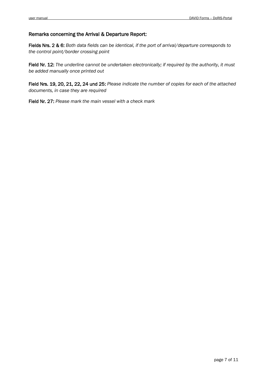#### Remarks concerning the Arrival & Departure Report:

Fields Nrs. 2 & 6: *Both data fields can be identical, if the port of arrival/departure corresponds to the control point/border crossing point* 

Field Nr. 12: *The underline cannot be undertaken electronically; if required by the authority, it must be added manually once printed out*

Field Nrs. 19, 20, 21, 22, 24 und 25: *Please indicate the number of copies for each of the attached documents, in case they are required* 

Field Nr. 27: *Please mark the main vessel with a check mark*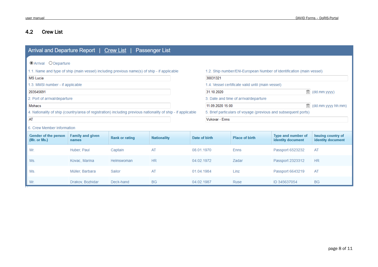# 4.2 Crew List

<span id="page-7-0"></span>

| Arrival and Departure Report   Crew List  <br><b>Passenger List</b>                   |                                                                                                                                                                     |                                                                                                              |                    |               |                  |                                                                |                                                |                                                |  |  |  |  |  |  |  |
|---------------------------------------------------------------------------------------|---------------------------------------------------------------------------------------------------------------------------------------------------------------------|--------------------------------------------------------------------------------------------------------------|--------------------|---------------|------------------|----------------------------------------------------------------|------------------------------------------------|------------------------------------------------|--|--|--|--|--|--|--|
| O Departure<br>$\odot$ Arrival                                                        |                                                                                                                                                                     |                                                                                                              |                    |               |                  |                                                                |                                                |                                                |  |  |  |  |  |  |  |
|                                                                                       | 1.1. Name and type of ship (main vessel) including previous name(s) of ship - if applicable<br>1.2. Ship number/ENI-European Number of Identification (main vessel) |                                                                                                              |                    |               |                  |                                                                |                                                |                                                |  |  |  |  |  |  |  |
| 30031321<br><b>MS</b> Lucia                                                           |                                                                                                                                                                     |                                                                                                              |                    |               |                  |                                                                |                                                |                                                |  |  |  |  |  |  |  |
| 1.3. MMSI number - if applicable<br>1.4. Vessel certificate valid until (main vessel) |                                                                                                                                                                     |                                                                                                              |                    |               |                  |                                                                |                                                |                                                |  |  |  |  |  |  |  |
| 203545691                                                                             |                                                                                                                                                                     |                                                                                                              |                    |               | 31.10.2020       |                                                                |                                                | 萱 (dd.mm.yyyy)                                 |  |  |  |  |  |  |  |
| 2. Port of arrival/departure                                                          |                                                                                                                                                                     |                                                                                                              |                    |               |                  | 3. Date and time of arrival/departure                          |                                                |                                                |  |  |  |  |  |  |  |
| <b>Mohacs</b>                                                                         |                                                                                                                                                                     |                                                                                                              |                    |               | 11.09.2020 15:00 |                                                                | m                                              | (dd.mm.yyyy hh:mm)                             |  |  |  |  |  |  |  |
|                                                                                       |                                                                                                                                                                     | 4. Nationality of ship (country/area of registration) including previous nationality of ship - if applicable |                    |               |                  | 5. Brief particulars of voyage (previous and subsequent ports) |                                                |                                                |  |  |  |  |  |  |  |
| <b>AT</b>                                                                             |                                                                                                                                                                     |                                                                                                              |                    |               | Vukovar - Enns   |                                                                |                                                |                                                |  |  |  |  |  |  |  |
| 6. Crew Member Information                                                            |                                                                                                                                                                     |                                                                                                              |                    |               |                  |                                                                |                                                |                                                |  |  |  |  |  |  |  |
| Gender of the person<br>(Mr. or Ms.)                                                  | <b>Family and given</b><br>names                                                                                                                                    | <b>Rank or rating</b>                                                                                        | <b>Nationality</b> | Date of birth |                  | <b>Place of birth</b>                                          | <b>Type and number of</b><br>identity document | <b>Issuing country of</b><br>identity document |  |  |  |  |  |  |  |
| Mr.                                                                                   | Huber, Paul                                                                                                                                                         | Captain                                                                                                      | AT                 | 08.01.1970    |                  | Enns                                                           | Passport 6523232                               | AT                                             |  |  |  |  |  |  |  |
| Ms.                                                                                   | Kovac, Marina                                                                                                                                                       | Helmswoman                                                                                                   | <b>HR</b>          | 04.02.1972    |                  | Zadar                                                          | Passport 2323312                               | <b>HR</b>                                      |  |  |  |  |  |  |  |
| Ms.                                                                                   | Müller, Barbara                                                                                                                                                     | Sailor                                                                                                       | AT                 | 01.04.1984    |                  | Linz                                                           | Passport 6643219                               | AT                                             |  |  |  |  |  |  |  |
| Mr.                                                                                   | Drakov, Bozhidar                                                                                                                                                    | Deck-hand                                                                                                    | <b>BG</b>          | 04.02.1987    |                  | Ruse                                                           | ID 345637054                                   | <b>BG</b>                                      |  |  |  |  |  |  |  |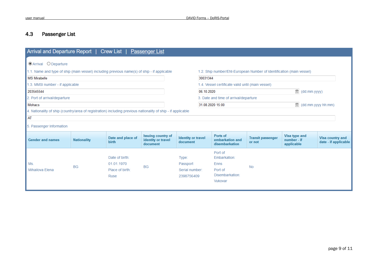# 4.3 Passenger List

<span id="page-8-0"></span>

| Arrival and Departure Report   Crew List  <br><b>Passenger List</b>                                                                                                                                                                                                                                                                                                                                                                                                                                       |                    |                                                         |                                                      |                                                   |  |                                                                                 |                                    |                                            |                                          |  |  |  |  |
|-----------------------------------------------------------------------------------------------------------------------------------------------------------------------------------------------------------------------------------------------------------------------------------------------------------------------------------------------------------------------------------------------------------------------------------------------------------------------------------------------------------|--------------------|---------------------------------------------------------|------------------------------------------------------|---------------------------------------------------|--|---------------------------------------------------------------------------------|------------------------------------|--------------------------------------------|------------------------------------------|--|--|--|--|
| <b>OArrival</b> ODeparture<br>1.1. Name and type of ship (main vessel) including previous name(s) of ship - if applicable<br>1.2. Ship number/ENI-European Number of Identification (main vessel)<br><b>MS Mirabelle</b><br>30031344<br>1.4. Vessel certificate valid until (main vessel)<br>1.3. MMSI number - if applicable<br>萱 (dd.mm.yyyy)<br>203545544<br>06.10.2020<br>2. Port of arrival/departure<br>3. Date and time of arrival/departure<br>道 (dd.mm.yyyy hh:mm)<br>Mohacs<br>31.08.2020 15:00 |                    |                                                         |                                                      |                                                   |  |                                                                                 |                                    |                                            |                                          |  |  |  |  |
| 4. Nationality of ship (country/area of registration) including previous nationality of ship - if applicable                                                                                                                                                                                                                                                                                                                                                                                              |                    |                                                         |                                                      |                                                   |  |                                                                                 |                                    |                                            |                                          |  |  |  |  |
| AT<br>5. Passenger Information                                                                                                                                                                                                                                                                                                                                                                                                                                                                            |                    |                                                         |                                                      |                                                   |  |                                                                                 |                                    |                                            |                                          |  |  |  |  |
| <b>Gender and names</b>                                                                                                                                                                                                                                                                                                                                                                                                                                                                                   | <b>Nationality</b> | Date and place of<br>birth                              | Issuing country of<br>identity or travel<br>document | <b>Identity or travel</b><br>document             |  | Ports of<br>embarkation and<br>disembarkation                                   | <b>Transit passenger</b><br>or not | Visa type and<br>number - if<br>applicable | Visa country and<br>date - if applicable |  |  |  |  |
| Ms.<br>Mihailova Elena                                                                                                                                                                                                                                                                                                                                                                                                                                                                                    | <b>BG</b>          | Date of birth:<br>01.01.1970<br>Place of birth:<br>Ruse | <b>BG</b>                                            | Type:<br>Passport<br>Serial number:<br>2398756409 |  | Port of<br>Embarkation:<br><b>Enns</b><br>Port of<br>Disembarkation:<br>Vukovar | <b>No</b>                          |                                            |                                          |  |  |  |  |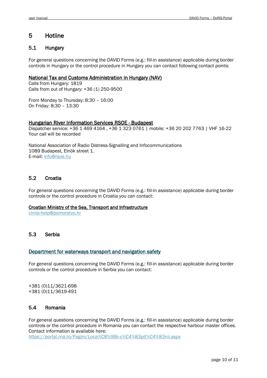# <span id="page-9-0"></span>5 Hotline

#### <span id="page-9-1"></span>5.1 Hungary

For general questions concerning the DAVID Forms (e.g.: fill-in assistance) applicable during border controls in Hungary or the control procedure in Hungary you can contact following contact points:

#### National Tax and Customs Administration in Hungary (NAV)

Calls from Hungary: 1819 Calls from out of Hungary: +36 (1) 250-9500

From Monday to Thursday: 8:30 – 16:00 On Friday: 8:30 – 13:30

#### Hungarian River Information Services RSOE - Budapest

Dispatcher service: +36 1 469 4164 , +36 1 323 0761 | mobile: +36 20 202 7763 | VHF 16-22 Your call will be recorded

National Association of Radio Distress-Signalling and Infocommunications 1089 Budapest, Elnök street 1. E-mail: [info@rsoe.hu](mailto:info@rsoe.hu)

#### 5.2 Croatia

For general questions concerning the DAVID Forms (e.g.: fill-in assistance) applicable during border controls or the control procedure in Croatia you can contact:

#### Croatian Ministry of the Sea, Transport and Infrastructure

[cimis-help@pomorstvo.hr](mailto:cimis-help@pomorstvo.hr) 

#### 5.3 Serbia

#### [Department for waterways transport and navigation safety](https://www.mgsi.gov.rs/en/kontakt/department-waterways-transport-and-navigation-safety)

For general questions concerning the DAVID Forms (e.g.: fill-in assistance) applicable during border controls or the control procedure in Serbia you can contact:

+381 (0)11/3621-698 +381 (0)11/3619-491

#### 5.4 Romania

For general questions concerning the DAVID Forms (e.g.: fill-in assistance) applicable during border controls or the control procedure in Romania you can contact the respective harbour master offices. Contact information is available here: <https://portal.rna.ro/Pagini/Loca%C8%9Bii-c%C4%83pit%C4%83nii.aspx>